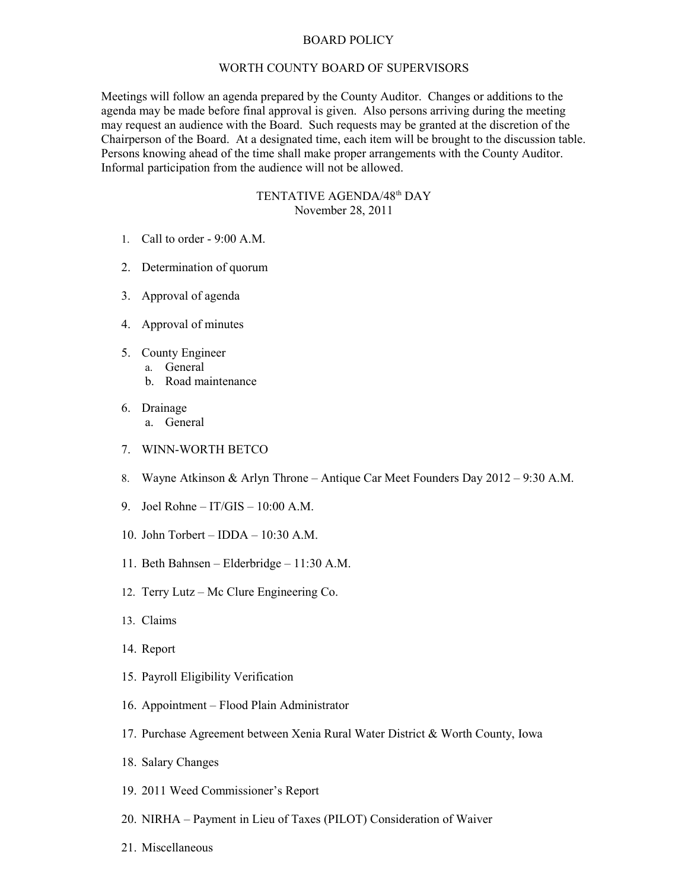## BOARD POLICY

## WORTH COUNTY BOARD OF SUPERVISORS

Meetings will follow an agenda prepared by the County Auditor. Changes or additions to the agenda may be made before final approval is given. Also persons arriving during the meeting may request an audience with the Board. Such requests may be granted at the discretion of the Chairperson of the Board. At a designated time, each item will be brought to the discussion table. Persons knowing ahead of the time shall make proper arrangements with the County Auditor. Informal participation from the audience will not be allowed.

## TENTATIVE AGENDA/48th DAY November 28, 2011

- 1. Call to order 9:00 A.M.
- 2. Determination of quorum
- 3. Approval of agenda
- 4. Approval of minutes
- 5. County Engineer
	- a. General
		- b. Road maintenance
- 6. Drainage a. General
- 7. WINN-WORTH BETCO
- 8. Wayne Atkinson & Arlyn Throne Antique Car Meet Founders Day 2012 9:30 A.M.
- 9. Joel Rohne IT/GIS 10:00 A.M.
- 10. John Torbert IDDA 10:30 A.M.
- 11. Beth Bahnsen Elderbridge 11:30 A.M.
- 12. Terry Lutz Mc Clure Engineering Co.
- 13. Claims
- 14. Report
- 15. Payroll Eligibility Verification
- 16. Appointment Flood Plain Administrator
- 17. Purchase Agreement between Xenia Rural Water District & Worth County, Iowa
- 18. Salary Changes
- 19. 2011 Weed Commissioner's Report
- 20. NIRHA Payment in Lieu of Taxes (PILOT) Consideration of Waiver
- 21. Miscellaneous